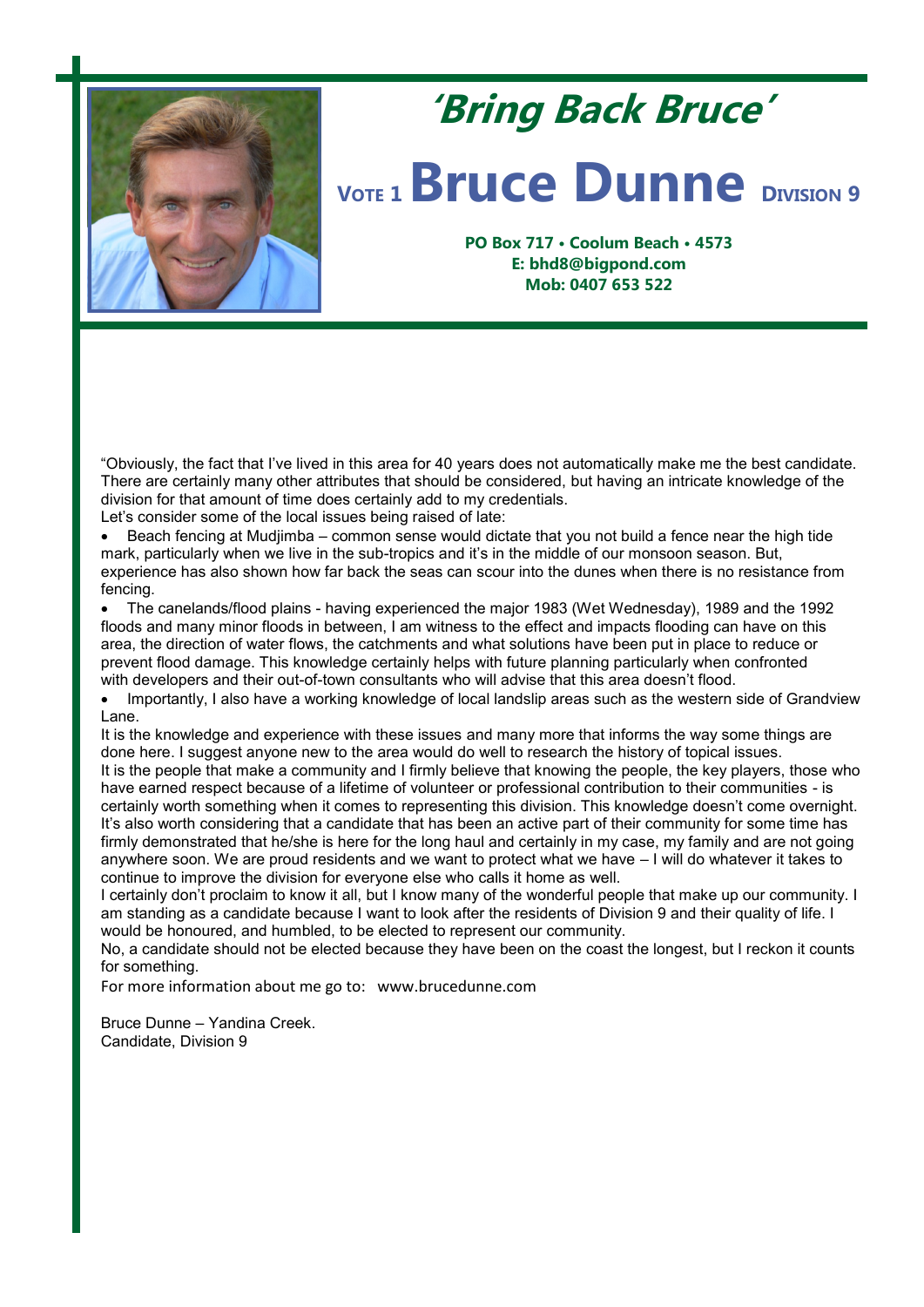

## **'Bring Back Bruce'**

## *VOTE* **1 <b>Bruce Dunne DIVISION** 9

**PO Box 717 • Coolum Beach • 4573 E: bhd8@bigpond.com Mob: 0407 653 522**

"Obviously, the fact that I've lived in this area for 40 years does not automatically make me the best candidate. There are certainly many other attributes that should be considered, but having an intricate knowledge of the division for that amount of time does certainly add to my credentials.

Let's consider some of the local issues being raised of late:

 Beach fencing at Mudjimba – common sense would dictate that you not build a fence near the high tide mark, particularly when we live in the sub-tropics and it's in the middle of our monsoon season. But, experience has also shown how far back the seas can scour into the dunes when there is no resistance from fencing.

 The canelands/flood plains - having experienced the major 1983 (Wet Wednesday), 1989 and the 1992 floods and many minor floods in between, I am witness to the effect and impacts flooding can have on this area, the direction of water flows, the catchments and what solutions have been put in place to reduce or prevent flood damage. This knowledge certainly helps with future planning particularly when confronted with developers and their out-of-town consultants who will advise that this area doesn't flood.

 Importantly, I also have a working knowledge of local landslip areas such as the western side of Grandview Lane.

It is the knowledge and experience with these issues and many more that informs the way some things are done here. I suggest anyone new to the area would do well to research the history of topical issues. It is the people that make a community and I firmly believe that knowing the people, the key players, those who have earned respect because of a lifetime of volunteer or professional contribution to their communities - is certainly worth something when it comes to representing this division. This knowledge doesn't come overnight. It's also worth considering that a candidate that has been an active part of their community for some time has firmly demonstrated that he/she is here for the long haul and certainly in my case, my family and are not going anywhere soon. We are proud residents and we want to protect what we have – I will do whatever it takes to continue to improve the division for everyone else who calls it home as well.

I certainly don't proclaim to know it all, but I know many of the wonderful people that make up our community. I am standing as a candidate because I want to look after the residents of Division 9 and their quality of life. I would be honoured, and humbled, to be elected to represent our community.

No, a candidate should not be elected because they have been on the coast the longest, but I reckon it counts for something.

For more information about me go to: www.brucedunne.com

Bruce Dunne – Yandina Creek. Candidate, Division 9